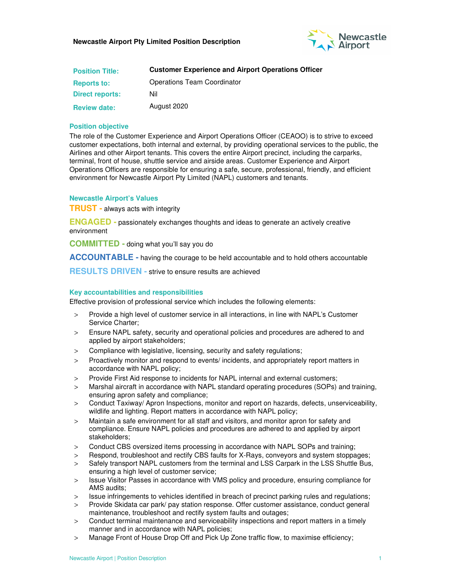

| <b>Position Title:</b> | <b>Customer Experience and Airport Operations Officer</b> |  |  |
|------------------------|-----------------------------------------------------------|--|--|
| <b>Reports to:</b>     | <b>Operations Team Coordinator</b>                        |  |  |
| <b>Direct reports:</b> | Nil                                                       |  |  |
| <b>Review date:</b>    | August 2020                                               |  |  |

#### **Position objective**

The role of the Customer Experience and Airport Operations Officer (CEAOO) is to strive to exceed customer expectations, both internal and external, by providing operational services to the public, the Airlines and other Airport tenants. This covers the entire Airport precinct, including the carparks, terminal, front of house, shuttle service and airside areas. Customer Experience and Airport Operations Officers are responsible for ensuring a safe, secure, professional, friendly, and efficient environment for Newcastle Airport Pty Limited (NAPL) customers and tenants.

## **Newcastle Airport's Values**

**TRUST -** always acts with integrity

**ENGAGED -** passionately exchanges thoughts and ideas to generate an actively creative environment

**COMMITTED -** doing what you'll say you do

**ACCOUNTABLE -** having the courage to be held accountable and to hold others accountable

**RESULTS DRIVEN -** strive to ensure results are achieved

#### **Key accountabilities and responsibilities**

Effective provision of professional service which includes the following elements:

- > Provide a high level of customer service in all interactions, in line with NAPL's Customer Service Charter;
- > Ensure NAPL safety, security and operational policies and procedures are adhered to and applied by airport stakeholders;
- > Compliance with legislative, licensing, security and safety regulations;
- > Proactively monitor and respond to events/ incidents, and appropriately report matters in accordance with NAPL policy;
- > Provide First Aid response to incidents for NAPL internal and external customers;
- Marshal aircraft in accordance with NAPL standard operating procedures (SOPs) and training, ensuring apron safety and compliance;
- > Conduct Taxiway/ Apron Inspections, monitor and report on hazards, defects, unserviceability, wildlife and lighting. Report matters in accordance with NAPL policy;
- > Maintain a safe environment for all staff and visitors, and monitor apron for safety and compliance. Ensure NAPL policies and procedures are adhered to and applied by airport stakeholders;
- > Conduct CBS oversized items processing in accordance with NAPL SOPs and training;
- > Respond, troubleshoot and rectify CBS faults for X-Rays, conveyors and system stoppages;
- > Safely transport NAPL customers from the terminal and LSS Carpark in the LSS Shuttle Bus, ensuring a high level of customer service;
- > Issue Visitor Passes in accordance with VMS policy and procedure, ensuring compliance for AMS audits;
- > Issue infringements to vehicles identified in breach of precinct parking rules and regulations;
- > Provide Skidata car park/ pay station response. Offer customer assistance, conduct general maintenance, troubleshoot and rectify system faults and outages;
- > Conduct terminal maintenance and serviceability inspections and report matters in a timely manner and in accordance with NAPL policies;
- > Manage Front of House Drop Off and Pick Up Zone traffic flow, to maximise efficiency;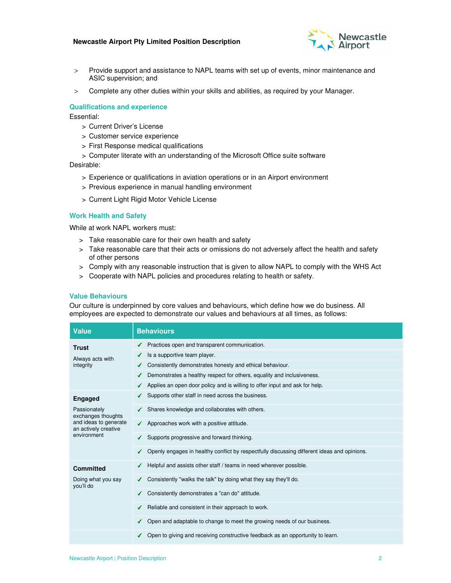#### **Newcastle Airport Pty Limited Position Description**



- > Provide support and assistance to NAPL teams with set up of events, minor maintenance and ASIC supervision; and
- > Complete any other duties within your skills and abilities, as required by your Manager.

## **Qualifications and experience**

Essential:

- > Current Driver's License
- > Customer service experience
- > First Response medical qualifications
- > Computer literate with an understanding of the Microsoft Office suite software

Desirable:

- > Experience or qualifications in aviation operations or in an Airport environment
- > Previous experience in manual handling environment
- > Current Light Rigid Motor Vehicle License

#### **Work Health and Safety**

While at work NAPL workers must:

- > Take reasonable care for their own health and safety
- > Take reasonable care that their acts or omissions do not adversely affect the health and safety of other persons
- > Comply with any reasonable instruction that is given to allow NAPL to comply with the WHS Act
- > Cooperate with NAPL policies and procedures relating to health or safety.

#### **Value Behaviours**

Our culture is underpinned by core values and behaviours, which define how we do business. All employees are expected to demonstrate our values and behaviours at all times, as follows:

| <b>Value</b>                                  | <b>Behaviours</b>                                                                                |
|-----------------------------------------------|--------------------------------------------------------------------------------------------------|
| <b>Trust</b>                                  | $\checkmark$ Practices open and transparent communication.                                       |
| Always acts with                              | Is a supportive team player.                                                                     |
| integrity                                     | Consistently demonstrates honesty and ethical behaviour.<br>✔                                    |
|                                               | Demonstrates a healthy respect for others, equality and inclusiveness.                           |
|                                               | $\checkmark$ Applies an open door policy and is willing to offer input and ask for help.         |
| <b>Engaged</b>                                | Supports other staff in need across the business.                                                |
| Passionately<br>exchanges thoughts            | Shares knowledge and collaborates with others.<br>✔                                              |
| and ideas to generate<br>an actively creative | Approaches work with a positive attitude.                                                        |
| environment                                   | Supports progressive and forward thinking.                                                       |
|                                               | Openly engages in healthy conflict by respectfully discussing different ideas and opinions.<br>✔ |
| <b>Committed</b>                              | Helpful and assists other staff / teams in need wherever possible.                               |
| Doing what you say<br>you'll do               | Consistently "walks the talk" by doing what they say they'll do.                                 |
|                                               | Consistently demonstrates a "can do" attitude.                                                   |
|                                               | Reliable and consistent in their approach to work.<br>✔                                          |
|                                               | Open and adaptable to change to meet the growing needs of our business.                          |
|                                               | Open to giving and receiving constructive feedback as an opportunity to learn.                   |
|                                               |                                                                                                  |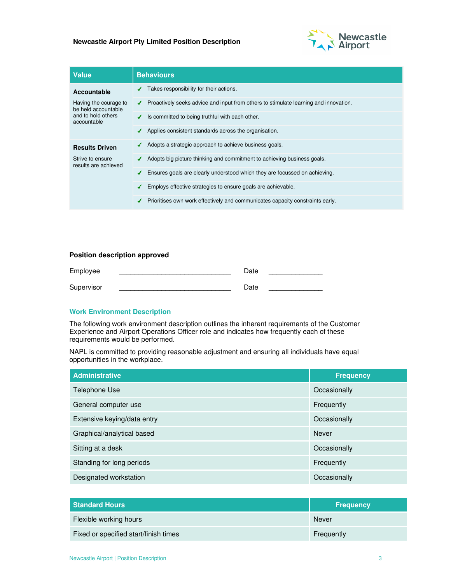## **Newcastle Airport Pty Limited Position Description**



| Value                                                                             | <b>Behaviours</b>                                                                                     |
|-----------------------------------------------------------------------------------|-------------------------------------------------------------------------------------------------------|
| Accountable                                                                       | Takes responsibility for their actions.<br>✔                                                          |
| Having the courage to<br>be held accountable<br>and to hold others<br>accountable | Proactively seeks advice and input from others to stimulate learning and innovation.<br>$\mathcal{L}$ |
|                                                                                   | Is committed to being truthful with each other.<br>✔                                                  |
|                                                                                   | Applies consistent standards across the organisation.<br>✔                                            |
| <b>Results Driven</b>                                                             | Adopts a strategic approach to achieve business goals.<br>✔                                           |
| Strive to ensure<br>results are achieved                                          | Adopts big picture thinking and commitment to achieving business goals.<br>✔                          |
|                                                                                   | Ensures goals are clearly understood which they are focussed on achieving.<br>✔                       |
|                                                                                   | Employs effective strategies to ensure goals are achievable.<br>✔                                     |
|                                                                                   | Prioritises own work effectively and communicates capacity constraints early.<br>✔                    |

# **Position description approved**

| Employee   | Date |  |
|------------|------|--|
| Supervisor | Date |  |

# **Work Environment Description**

The following work environment description outlines the inherent requirements of the Customer Experience and Airport Operations Officer role and indicates how frequently each of these requirements would be performed.

NAPL is committed to providing reasonable adjustment and ensuring all individuals have equal opportunities in the workplace.

| <b>Administrative</b>       | <b>Frequency</b> |
|-----------------------------|------------------|
| Telephone Use               | Occasionally     |
| General computer use        | Frequently       |
| Extensive keying/data entry | Occasionally     |
| Graphical/analytical based  | Never            |
| Sitting at a desk           | Occasionally     |
| Standing for long periods   | Frequently       |
| Designated workstation      | Occasionally     |

| <b>Standard Hours</b>                 | <b>Frequency</b> |
|---------------------------------------|------------------|
| Flexible working hours                | Never            |
| Fixed or specified start/finish times | Frequently       |